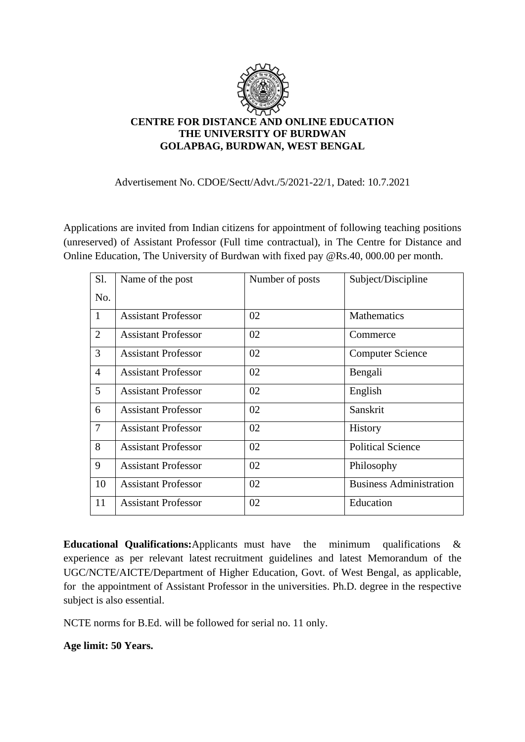

## **CENTRE FOR DISTANCE AND ONLINE EDUCATION THE UNIVERSITY OF BURDWAN GOLAPBAG, BURDWAN, WEST BENGAL**

### Advertisement No. CDOE/Sectt/Advt./5/2021-22/1, Dated: 10.7.2021

Applications are invited from Indian citizens for appointment of following teaching positions (unreserved) of Assistant Professor (Full time contractual), in The Centre for Distance and Online Education, The University of Burdwan with fixed pay @Rs.40, 000.00 per month.

| Sl.            | Name of the post           | Number of posts | Subject/Discipline             |
|----------------|----------------------------|-----------------|--------------------------------|
| No.            |                            |                 |                                |
| $\mathbf{1}$   | <b>Assistant Professor</b> | 02              | <b>Mathematics</b>             |
| $\overline{2}$ | <b>Assistant Professor</b> | 02              | Commerce                       |
| 3              | <b>Assistant Professor</b> | 02              | <b>Computer Science</b>        |
| $\overline{4}$ | <b>Assistant Professor</b> | 02              | Bengali                        |
| 5              | <b>Assistant Professor</b> | 02              | English                        |
| 6              | <b>Assistant Professor</b> | 02              | Sanskrit                       |
| $\tau$         | <b>Assistant Professor</b> | 02              | <b>History</b>                 |
| 8              | <b>Assistant Professor</b> | 02              | <b>Political Science</b>       |
| 9              | <b>Assistant Professor</b> | 02              | Philosophy                     |
| 10             | <b>Assistant Professor</b> | 02              | <b>Business Administration</b> |
| 11             | <b>Assistant Professor</b> | 02              | Education                      |

**Educational Qualifications:**Applicants must have the minimum qualifications & experience as per relevant latest recruitment guidelines and latest Memorandum of the UGC/NCTE/AICTE/Department of Higher Education, Govt. of West Bengal, as applicable, for the appointment of Assistant Professor in the universities. Ph.D. degree in the respective subject is also essential.

NCTE norms for B.Ed. will be followed for serial no. 11 only.

**Age limit: 50 Years.**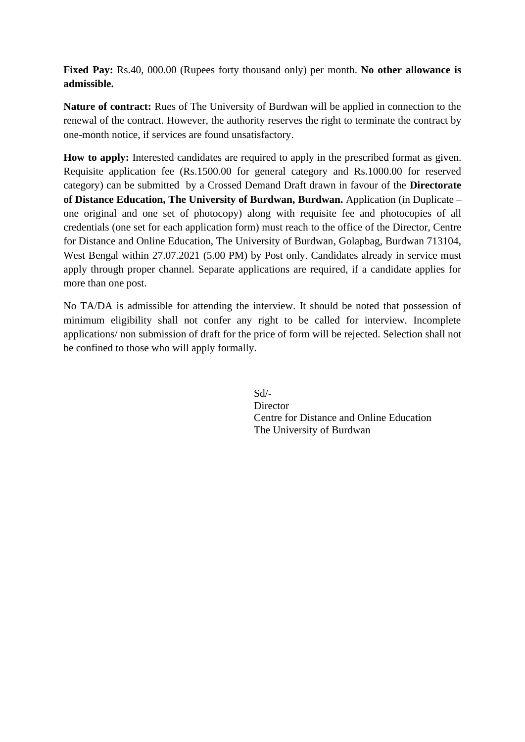**Fixed Pay:** Rs.40, 000.00 (Rupees forty thousand only) per month. **No other allowance is admissible.** 

**Nature of contract:** Rues of The University of Burdwan will be applied in connection to the renewal of the contract. However, the authority reserves the right to terminate the contract by one-month notice, if services are found unsatisfactory.

**How to apply:** Interested candidates are required to apply in the prescribed format as given. Requisite application fee (Rs.1500.00 for general category and Rs.1000.00 for reserved category) can be submitted by a Crossed Demand Draft drawn in favour of the **Directorate of Distance Education, The University of Burdwan, Burdwan.** Application (in Duplicate – one original and one set of photocopy) along with requisite fee and photocopies of all credentials (one set for each application form) must reach to the office of the Director, Centre for Distance and Online Education, The University of Burdwan, Golapbag, Burdwan 713104, West Bengal within 27.07.2021 (5.00 PM) by Post only. Candidates already in service must apply through proper channel. Separate applications are required, if a candidate applies for more than one post.

No TA/DA is admissible for attending the interview. It should be noted that possession of minimum eligibility shall not confer any right to be called for interview. Incomplete applications/ non submission of draft for the price of form will be rejected. Selection shall not be confined to those who will apply formally.

> Sd/- **Director** Centre for Distance and Online Education The University of Burdwan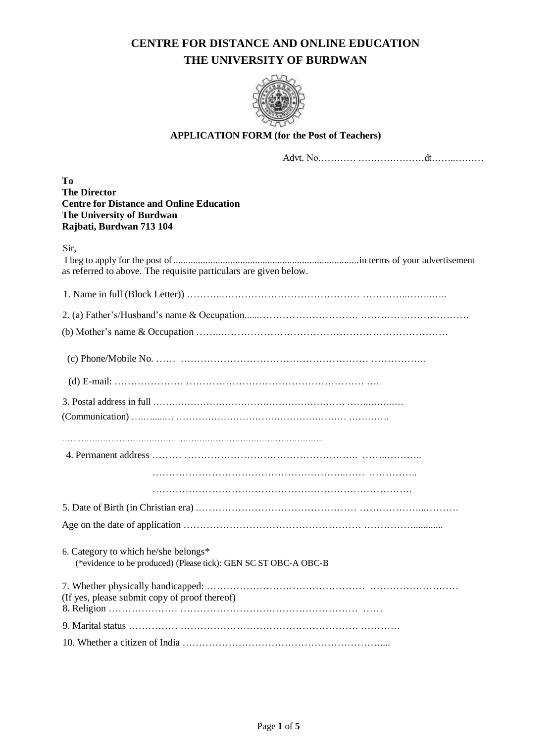# **CENTRE FOR DISTANCE AND ONLINE EDUCATION THE UNIVERSITY OF BURDWAN**



## **APPLICATION FORM (for the Post of Teachers)**

Advt. No………… …………………dt……..………

**To The Director Centre for Distance and Online Education The University of Burdwan Rajbati, Burdwan 713 104**

| Sir, | as referred to above. The requisite particulars are given below.                                        |
|------|---------------------------------------------------------------------------------------------------------|
|      |                                                                                                         |
|      |                                                                                                         |
|      |                                                                                                         |
|      |                                                                                                         |
|      |                                                                                                         |
|      |                                                                                                         |
|      |                                                                                                         |
|      |                                                                                                         |
|      |                                                                                                         |
|      |                                                                                                         |
|      | 6. Category to which he/she belongs*<br>(*evidence to be produced) (Please tick): GEN SC ST OBC-A OBC-B |
|      | (If yes, please submit copy of proof thereof)                                                           |
|      |                                                                                                         |
|      |                                                                                                         |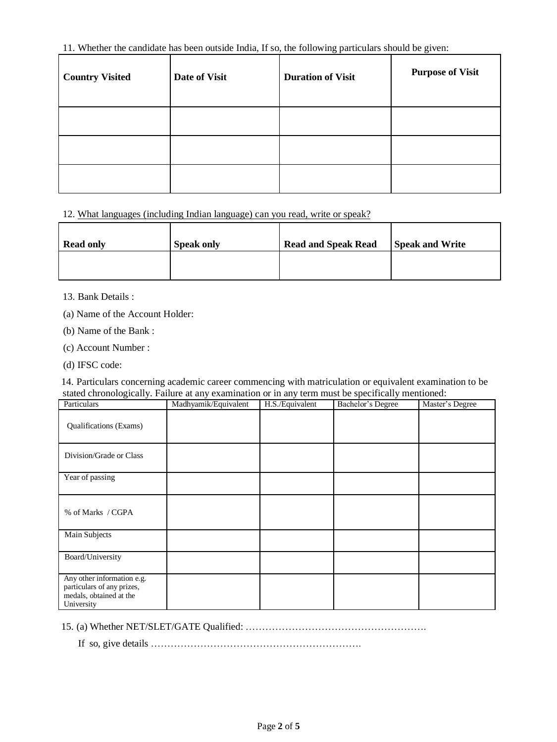## 11. Whether the candidate has been outside India, If so, the following particulars should be given:

| <b>Country Visited</b> | Date of Visit | <b>Duration of Visit</b> | <b>Purpose of Visit</b> |
|------------------------|---------------|--------------------------|-------------------------|
|                        |               |                          |                         |
|                        |               |                          |                         |
|                        |               |                          |                         |

12. What languages (including Indian language) can you read, write or speak?

| <b>Read only</b> | <b>Speak only</b> | <b>Read and Speak Read</b> | <b>Speak and Write</b> |
|------------------|-------------------|----------------------------|------------------------|
|                  |                   |                            |                        |

### 13. Bank Details :

(a) Name of the Account Holder:

(b) Name of the Bank :

- (c) Account Number :
- (d) IFSC code:

14. Particulars concerning academic career commencing with matriculation or equivalent examination to be stated chronologically. Failure at any examination or in any term must be specifically mentioned:

| Particulars                                                                                       | Madhyamik/Equivalent | H.S./Equivalent | Bachelor's Degree | Master's Degree |
|---------------------------------------------------------------------------------------------------|----------------------|-----------------|-------------------|-----------------|
| Qualifications (Exams)                                                                            |                      |                 |                   |                 |
| Division/Grade or Class                                                                           |                      |                 |                   |                 |
| Year of passing                                                                                   |                      |                 |                   |                 |
| % of Marks / CGPA                                                                                 |                      |                 |                   |                 |
| <b>Main Subjects</b>                                                                              |                      |                 |                   |                 |
| <b>Board/University</b>                                                                           |                      |                 |                   |                 |
| Any other information e.g.<br>particulars of any prizes,<br>medals, obtained at the<br>University |                      |                 |                   |                 |

15. (a) Whether NET/SLET/GATE Qualified: ……………………………………………….

If so, give details ……………………………………………………….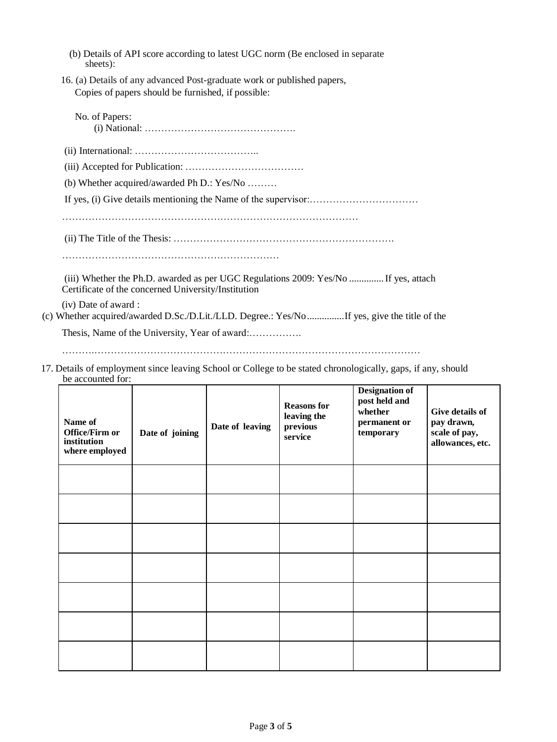|          | (b) Details of API score according to latest UGC norm (Be enclosed in separate |  |  |
|----------|--------------------------------------------------------------------------------|--|--|
| sheets): |                                                                                |  |  |

16. (a) Details of any advanced Post-graduate work or published papers, Copies of papers should be furnished, if possible:

| No. of Papers:                                                                                                                             |
|--------------------------------------------------------------------------------------------------------------------------------------------|
|                                                                                                                                            |
|                                                                                                                                            |
| (b) Whether acquired/awarded Ph D.: $Yes/No$                                                                                               |
|                                                                                                                                            |
|                                                                                                                                            |
|                                                                                                                                            |
|                                                                                                                                            |
| (iii) Whether the Ph.D. awarded as per UGC Regulations 2009: Yes/No  If yes, attach<br>Certificate of the concerned University/Institution |
| (iv) Date of award :<br>(c) Whether acquired/awarded D.Sc./D.Lit./LLD. Degree.: Yes/NoIf yes, give the title of the                        |
|                                                                                                                                            |

……….………………………………………………………………………………………

17. Details of employment since leaving School or College to be stated chronologically, gaps, if any, should be accounted for:

| Name of<br>Office/Firm or<br>institution<br>where employed | Date of joining | Date of leaving | <b>Reasons for</b><br>leaving the<br>previous<br>service | <b>Designation of</b><br>post held and<br>whether<br>permanent or<br>temporary | Give details of<br>pay drawn,<br>scale of pay,<br>allowances, etc. |
|------------------------------------------------------------|-----------------|-----------------|----------------------------------------------------------|--------------------------------------------------------------------------------|--------------------------------------------------------------------|
|                                                            |                 |                 |                                                          |                                                                                |                                                                    |
|                                                            |                 |                 |                                                          |                                                                                |                                                                    |
|                                                            |                 |                 |                                                          |                                                                                |                                                                    |
|                                                            |                 |                 |                                                          |                                                                                |                                                                    |
|                                                            |                 |                 |                                                          |                                                                                |                                                                    |
|                                                            |                 |                 |                                                          |                                                                                |                                                                    |
|                                                            |                 |                 |                                                          |                                                                                |                                                                    |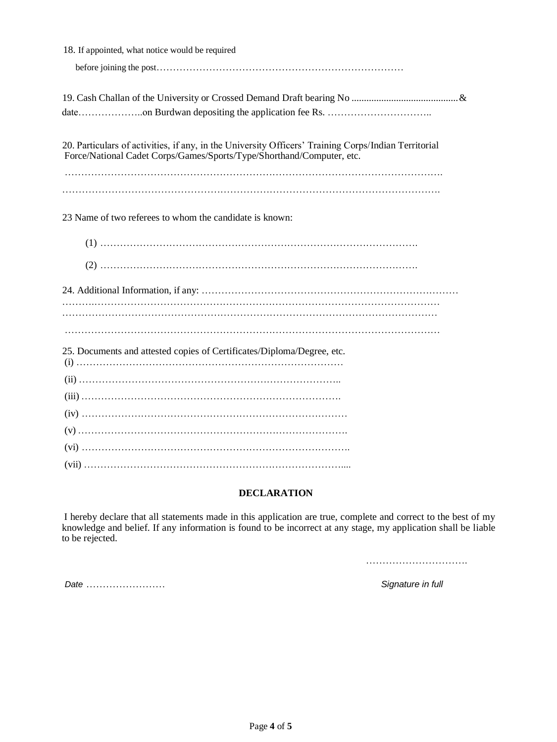| 18. If appointed, what notice would be required                                                                                                                               |
|-------------------------------------------------------------------------------------------------------------------------------------------------------------------------------|
|                                                                                                                                                                               |
|                                                                                                                                                                               |
|                                                                                                                                                                               |
| 20. Particulars of activities, if any, in the University Officers' Training Corps/Indian Territorial<br>Force/National Cadet Corps/Games/Sports/Type/Shorthand/Computer, etc. |
|                                                                                                                                                                               |
| 23 Name of two referees to whom the candidate is known:                                                                                                                       |
|                                                                                                                                                                               |
|                                                                                                                                                                               |
|                                                                                                                                                                               |
|                                                                                                                                                                               |
| 25. Documents and attested copies of Certificates/Diploma/Degree, etc.                                                                                                        |
|                                                                                                                                                                               |
|                                                                                                                                                                               |
|                                                                                                                                                                               |
|                                                                                                                                                                               |
|                                                                                                                                                                               |
|                                                                                                                                                                               |

### **DECLARATION**

I hereby declare that all statements made in this application are true, complete and correct to the best of my knowledge and belief. If any information is found to be incorrect at any stage, my application shall be liable to be rejected.

………………………….

*Date* …………………… *Signature in full*